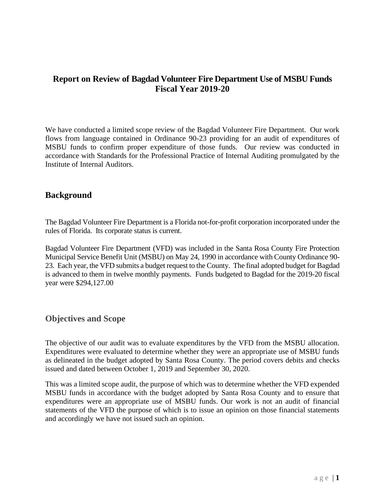## **Report on Review of Bagdad Volunteer Fire Department Use of MSBU Funds Fiscal Year 2019-20**

We have conducted a limited scope review of the Bagdad Volunteer Fire Department. Our work flows from language contained in Ordinance 90-23 providing for an audit of expenditures of MSBU funds to confirm proper expenditure of those funds. Our review was conducted in accordance with Standards for the Professional Practice of Internal Auditing promulgated by the Institute of Internal Auditors.

#### **Background**

The Bagdad Volunteer Fire Department is a Florida not-for-profit corporation incorporated under the rules of Florida. Its corporate status is current.

Bagdad Volunteer Fire Department (VFD) was included in the Santa Rosa County Fire Protection Municipal Service Benefit Unit (MSBU) on May 24, 1990 in accordance with County Ordinance 90- 23. Each year, the VFD submits a budget request to the County. The final adopted budget for Bagdad is advanced to them in twelve monthly payments. Funds budgeted to Bagdad for the 2019-20 fiscal year were \$294,127.00

### **Objectives and Scope**

The objective of our audit was to evaluate expenditures by the VFD from the MSBU allocation. Expenditures were evaluated to determine whether they were an appropriate use of MSBU funds as delineated in the budget adopted by Santa Rosa County. The period covers debits and checks issued and dated between October 1, 2019 and September 30, 2020.

This was a limited scope audit, the purpose of which was to determine whether the VFD expended MSBU funds in accordance with the budget adopted by Santa Rosa County and to ensure that expenditures were an appropriate use of MSBU funds. Our work is not an audit of financial statements of the VFD the purpose of which is to issue an opinion on those financial statements and accordingly we have not issued such an opinion.